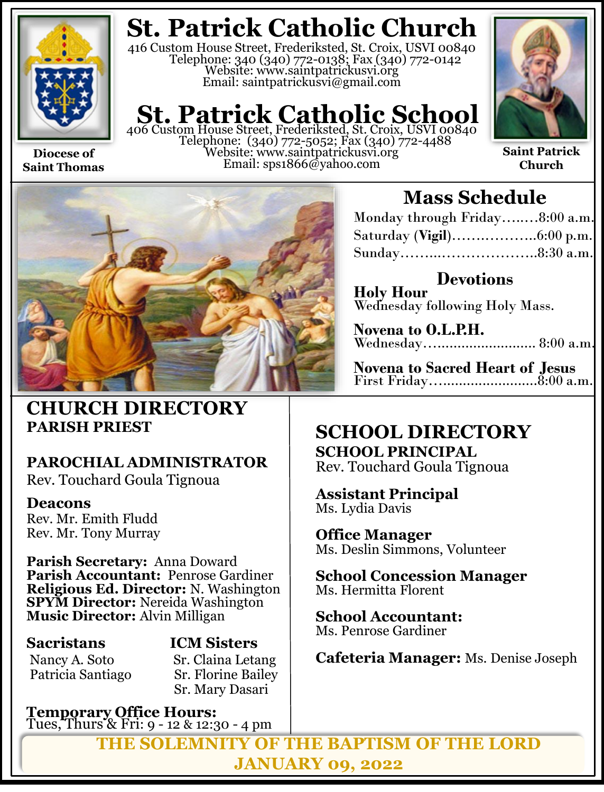

**Diocese of Saint Thomas** **St. Patrick Catholic Church**

416 Custom House Street, Frederiksted, St. Croix, USVI 00840 Telephone: 340 (340) 772-0138; Fax (340) 772-0142 Website: www.saintpatrickusvi.org Email: saintpatrickusvi@gmail.com

# **St. Patrick Catholic School** 406 Custom House Street, Frederiksted, St. Croix, USVI 00840

Telephone: (340) 772-5052; Fax (340) 772-4488 Website: www.saintpatrickusvi.org Email: sps1866@yahoo.com



**Saint Patrick Church**



### **CHURCH DIRECTORY PARISH PRIEST**

## **PAROCHIAL ADMINISTRATOR**

Rev. Touchard Goula Tignoua

### **Deacons**

Rev. Mr. Emith Fludd Rev. Mr. Tony Murray

**Parish Secretary:** Anna Doward **Parish Accountant:** Penrose Gardiner **Religious Ed. Director:** N. Washington **SPYM Director:** Nereida Washington **Music Director:** Alvin Milligan

## **Sacristans ICM Sisters**

Nancy A. Soto Sr. Claina Letang Patricia Santiago Sr. Florine Bailey Sr. Mary Dasari

**Temporary Office Hours:**  Tues, Thurs & Fri: 9 - 12 & 12:30 - 4 pm

## **Mass Schedule**

| Monday through Friday8:00 a.m. |  |
|--------------------------------|--|
|                                |  |
|                                |  |

**Devotions Holy Hour**  Wednesday following Holy Mass.

**Novena to O.L.P.H.** Wednesday…......................... 8:00 a.m.

**Novena to Sacred Heart of Jesus** First Friday…........................8:00 a.m.

## **SCHOOL DIRECTORY SCHOOL PRINCIPAL**

Rev. Touchard Goula Tignoua

**Assistant Principal** Ms. Lydia Davis

**Office Manager** Ms. Deslin Simmons, Volunteer

**School Concession Manager** Ms. Hermitta Florent

**School Accountant:**  Ms. Penrose Gardiner

**Cafeteria Manager:** Ms. Denise Joseph

**THE SOLEMNITY OF THE BAPTISM OF THE LORD JANUARY 09, 2022**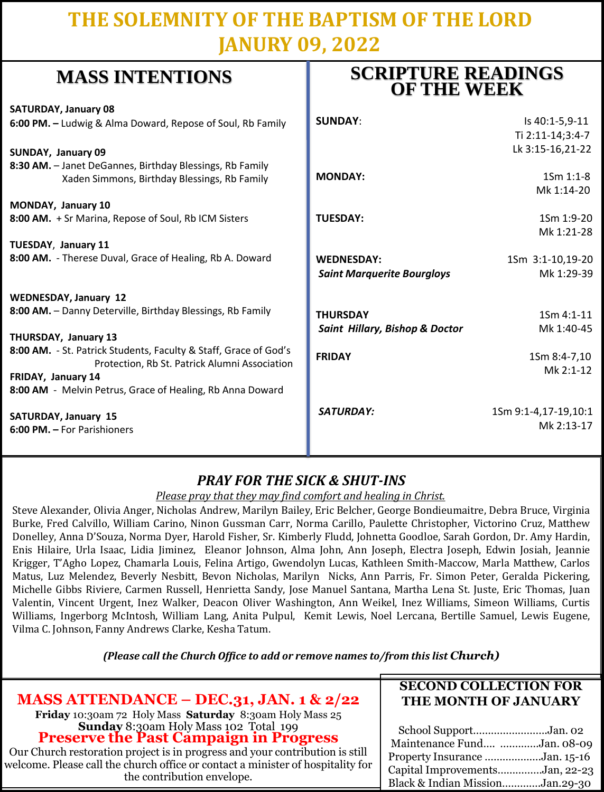## **THE SOLEMNITY OF THE BAPTISM OF THE LORD JANURY 09, 2022**

**SCRIPTURE READINGS** 

| where hyperited and                                              | <b>OF THE WEEK</b>                        |                      |
|------------------------------------------------------------------|-------------------------------------------|----------------------|
| <b>SATURDAY, January 08</b>                                      |                                           |                      |
| 6:00 PM. - Ludwig & Alma Doward, Repose of Soul, Rb Family       | <b>SUNDAY:</b>                            | Is 40:1-5,9-11       |
|                                                                  |                                           | Ti 2:11-14;3:4-7     |
| SUNDAY, January 09                                               |                                           | Lk 3:15-16,21-22     |
| 8:30 AM. - Janet DeGannes, Birthday Blessings, Rb Family         |                                           |                      |
| Xaden Simmons, Birthday Blessings, Rb Family                     | <b>MONDAY:</b>                            | 1Sm 1:1-8            |
|                                                                  |                                           | Mk 1:14-20           |
| MONDAY, January 10                                               |                                           |                      |
| 8:00 AM. + Sr Marina, Repose of Soul, Rb ICM Sisters             | <b>TUESDAY:</b>                           | 1Sm 1:9-20           |
|                                                                  |                                           | Mk 1:21-28           |
| <b>TUESDAY, January 11</b>                                       |                                           |                      |
| 8:00 AM. - Therese Duval, Grace of Healing, Rb A. Doward         | <b>WEDNESDAY:</b>                         | 1Sm 3:1-10,19-20     |
|                                                                  | <b>Saint Marquerite Bourgloys</b>         | Mk 1:29-39           |
| <b>WEDNESDAY, January 12</b>                                     |                                           |                      |
| 8:00 AM. - Danny Deterville, Birthday Blessings, Rb Family       | <b>THURSDAY</b>                           | $15m 4:1-11$         |
|                                                                  | <b>Saint Hillary, Bishop &amp; Doctor</b> | Mk 1:40-45           |
| <b>THURSDAY, January 13</b>                                      |                                           |                      |
| 8:00 AM. - St. Patrick Students, Faculty & Staff, Grace of God's | <b>FRIDAY</b>                             | 1Sm 8:4-7,10         |
| Protection, Rb St. Patrick Alumni Association                    |                                           | Mk 2:1-12            |
| FRIDAY, January 14                                               |                                           |                      |
| 8:00 AM - Melvin Petrus, Grace of Healing, Rb Anna Doward        |                                           |                      |
| SATURDAY, January 15                                             | <b>SATURDAY:</b>                          | 1Sm 9:1-4,17-19,10:1 |
| 6:00 PM. - For Parishioners                                      |                                           | Mk 2:13-17           |
|                                                                  |                                           |                      |

### *PRAY FOR THE SICK & SHUT-INS*

*Please pray that they may find comfort and healing in Christ.*

Steve Alexander, Olivia Anger, Nicholas Andrew, Marilyn Bailey, Eric Belcher, George Bondieumaitre, Debra Bruce, Virginia Burke, Fred Calvillo, William Carino, Ninon Gussman Carr, Norma Carillo, Paulette Christopher, Victorino Cruz, Matthew Donelley, Anna D'Souza, Norma Dyer, Harold Fisher, Sr. Kimberly Fludd, Johnetta Goodloe, Sarah Gordon, Dr. Amy Hardin, Enis Hilaire, Urla Isaac, Lidia Jiminez, Eleanor Johnson, Alma John, Ann Joseph, Electra Joseph, Edwin Josiah, Jeannie Krigger, T'Agho Lopez, Chamarla Louis, Felina Artigo, Gwendolyn Lucas, Kathleen Smith-Maccow, Marla Matthew, Carlos Matus, Luz Melendez, Beverly Nesbitt, Bevon Nicholas, Marilyn Nicks, Ann Parris, Fr. Simon Peter, Geralda Pickering, Michelle Gibbs Riviere, Carmen Russell, Henrietta Sandy, Jose Manuel Santana, Martha Lena St. Juste, Eric Thomas, Juan Valentin, Vincent Urgent, Inez Walker, Deacon Oliver Washington, Ann Weikel, Inez Williams, Simeon Williams, Curtis Williams, Ingerborg McIntosh, William Lang, Anita Pulpul, Kemit Lewis, Noel Lercana, Bertille Samuel, Lewis Eugene, Vilma C. Johnson, Fanny Andrews Clarke, Kesha Tatum.

*(Please call the Church Office to add or remove names to/from this list Church)*

| MASS ATTENDANCE – DEC.31, JAN. $1 \& 2/22$                                                                                                                                                                                                                                                                                                   | <b>SECOND COLLECTION FOR</b><br>THE MONTH OF JANUARY                                                                                                       |
|----------------------------------------------------------------------------------------------------------------------------------------------------------------------------------------------------------------------------------------------------------------------------------------------------------------------------------------------|------------------------------------------------------------------------------------------------------------------------------------------------------------|
| Friday 10:30am 72 Holy Mass Saturday 8:30am Holy Mass 25<br>Sunday 8:30am Holy Mass 102 Total 199<br>Preserve the Past Campaign in Progress<br>Our Church restoration project is in progress and your contribution is still<br>welcome. Please call the church office or contact a minister of hospitality for<br>the contribution envelope. | School SupportJan. 02<br>Maintenance Fund Jan. 08-09<br>Property Insurance Jan. 15-16<br>Capital ImprovementsJan, 22-23<br>Black & Indian MissionJan.29-30 |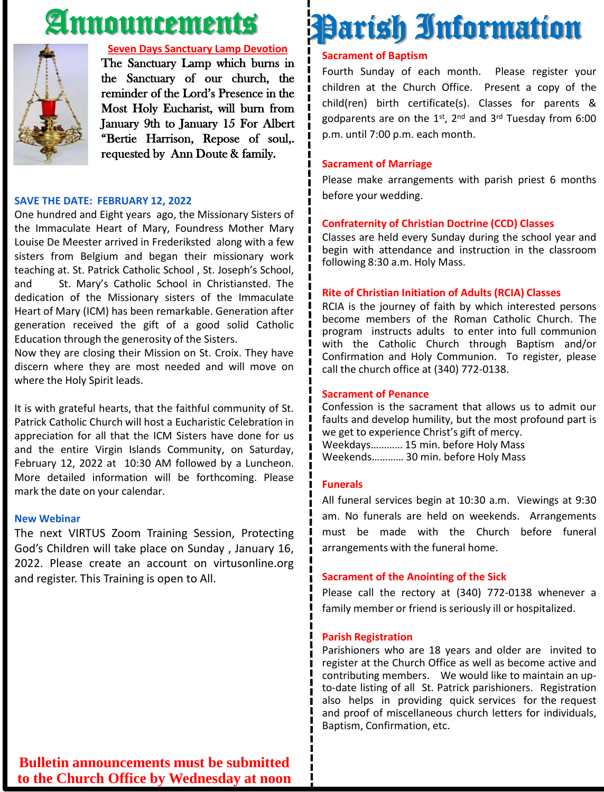## Announcements



#### **Seven Days Sanctuary Lamp Devotion**

The Sanctuary Lamp which burns in the Sanctuary of our church, the reminder of the Lord's Presence in the Most Holy Eucharist, will burn from January 9th to January 15 For Albert "Bertie Harrison, Repose of soul,. requested by Ann Doute & family.

#### **SAVE THE DATE: FEBRUARY 12, 2022**

One hundred and Eight years ago, the Missionary Sisters of the Immaculate Heart of Mary, Foundress Mother Mary Louise De Meester arrived in Frederiksted along with a few sisters from Belgium and began their missionary work teaching at. St. Patrick Catholic School , St. Joseph's School, and St. Mary's Catholic School in Christiansted. The dedication of the Missionary sisters of the Immaculate Heart of Mary (ICM) has been remarkable. Generation after generation received the gift of a good solid Catholic Education through the generosity of the Sisters.

Now they are closing their Mission on St. Croix. They have discern where they are most needed and will move on where the Holy Spirit leads.

It is with grateful hearts, that the faithful community of St. Patrick Catholic Church will host a Eucharistic Celebration in appreciation for all that the ICM Sisters have done for us and the entire Virgin Islands Community, on Saturday, February 12, 2022 at 10:30 AM followed by a Luncheon. More detailed information will be forthcoming. Please mark the date on your calendar.

#### **New Webinar**

The next VIRTUS Zoom Training Session, Protecting God's Children will take place on Sunday , January 16, 2022. Please create an account on virtusonline.org and register. This Training is open to All.

## **Sacrament of Baptism** Parish Information

Fourth Sunday of each month. Please register your children at the Church Office. Present a copy of the child(ren) birth certificate(s). Classes for parents & godparents are on the 1st, 2<sup>nd</sup> and 3<sup>rd</sup> Tuesday from 6:00 p.m. until 7:00 p.m. each month.

#### **Sacrament of Marriage**

Please make arrangements with parish priest 6 months before your wedding.

#### **Confraternity of Christian Doctrine (CCD) Classes**

Classes are held every Sunday during the school year and begin with attendance and instruction in the classroom following 8:30 a.m. Holy Mass.

#### **Rite of Christian Initiation of Adults (RCIA) Classes**

RCIA is the journey of faith by which interested persons become members of the Roman Catholic Church. The program instructs adults to enter into full communion with the Catholic Church through Baptism and/or Confirmation and Holy Communion. To register, please call the church office at (340) 772-0138.

#### **Sacrament of Penance**

Confession is the sacrament that allows us to admit our faults and develop humility, but the most profound part is we get to experience Christ's gift of mercy. Weekdays………… 15 min. before Holy Mass Weekends………… 30 min. before Holy Mass

#### **Funerals**

All funeral services begin at 10:30 a.m. Viewings at 9:30 am. No funerals are held on weekends. Arrangements must be made with the Church before funeral arrangements with the funeral home.

#### **Sacrament of the Anointing of the Sick**

Please call the rectory at (340) 772-0138 whenever a family member or friend is seriously ill or hospitalized.

#### **Parish Registration**

Parishioners who are 18 years and older are invited to register at the Church Office as well as become active and contributing members. We would like to maintain an upto-date listing of all St. Patrick parishioners. Registration also helps in providing quick services for the request and proof of miscellaneous church letters for individuals, Baptism, Confirmation, etc.